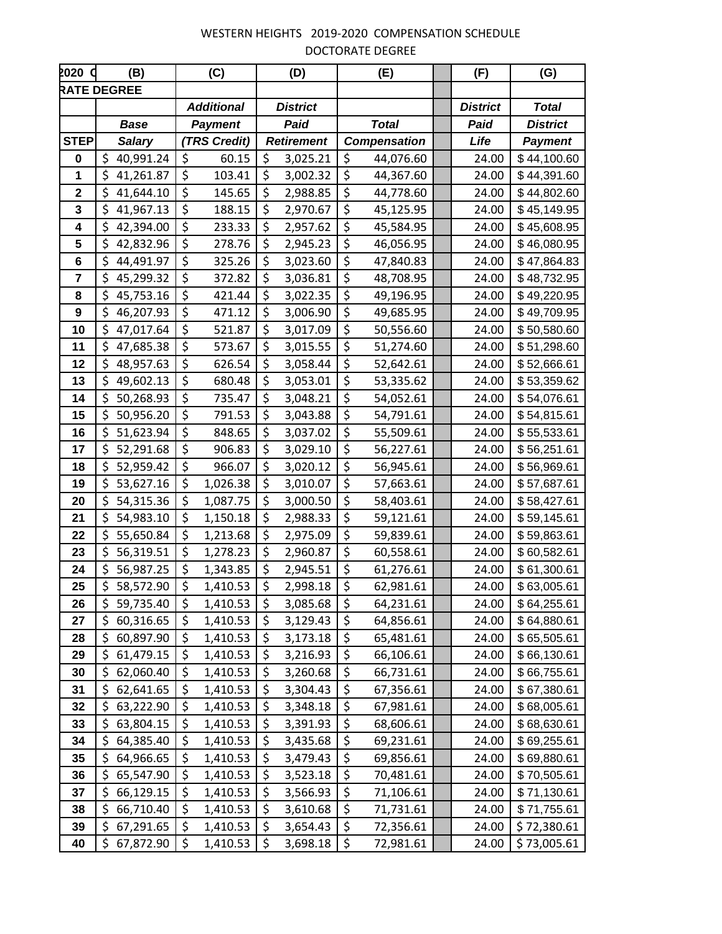| 2020 C      | (B)                |                  | (C)               |                     | (D)             |                                 | (E)       | (F)             | (G)             |
|-------------|--------------------|------------------|-------------------|---------------------|-----------------|---------------------------------|-----------|-----------------|-----------------|
|             | <b>RATE DEGREE</b> |                  |                   |                     |                 |                                 |           |                 |                 |
|             |                    |                  | <b>Additional</b> |                     | <b>District</b> |                                 |           | <b>District</b> | <b>Total</b>    |
|             | <b>Base</b>        | <b>Payment</b>   |                   | Paid                |                 | <b>Total</b>                    |           | Paid            | <b>District</b> |
| <b>STEP</b> | <b>Salary</b>      | (TRS Credit)     |                   | <b>Retirement</b>   |                 | <b>Compensation</b>             |           | Life            | <b>Payment</b>  |
| 0           | \$<br>40,991.24    | \$               | 60.15             | \$                  | 3,025.21        | \$                              | 44,076.60 | 24.00           | \$44,100.60     |
| 1           | \$<br>41,261.87    | \$               | 103.41            | $\zeta$             | 3,002.32        | $\zeta$                         | 44,367.60 | 24.00           | \$44,391.60     |
| 2           | \$<br>41,644.10    | \$               | 145.65            | \$                  | 2,988.85        | \$                              | 44,778.60 | 24.00           | \$44,802.60     |
| 3           | \$41,967.13        | \$               | 188.15            | \$                  | 2,970.67        | $\boldsymbol{\zeta}$            | 45,125.95 | 24.00           | \$45,149.95     |
| 4           | \$<br>42,394.00    | \$               | 233.33            | \$                  | 2,957.62        | $\zeta$                         | 45,584.95 | 24.00           | \$45,608.95     |
| 5           | \$<br>42,832.96    | \$               | 278.76            | \$                  | 2,945.23        | \$                              | 46,056.95 | 24.00           | \$46,080.95     |
| 6           | \$44,491.97        | $\overline{\xi}$ | 325.26            | $\zeta$             | 3,023.60        | $\overline{\boldsymbol{\zeta}}$ | 47,840.83 | 24.00           | \$47,864.83     |
| 7           | \$<br>45,299.32    | \$               | 372.82            | \$                  | 3,036.81        | \$                              | 48,708.95 | 24.00           | \$48,732.95     |
| 8           | \$<br>45,753.16    | \$               | 421.44            | \$                  | 3,022.35        | $\zeta$                         | 49,196.95 | 24.00           | \$49,220.95     |
| 9           | \$<br>46,207.93    | \$               | 471.12            | $\zeta$             | 3,006.90        | $\boldsymbol{\zeta}$            | 49,685.95 | 24.00           | \$49,709.95     |
| 10          | 47,017.64<br>\$    | \$               | 521.87            | \$                  | 3,017.09        | \$                              | 50,556.60 | 24.00           | \$50,580.60     |
| 11          | \$<br>47,685.38    | \$               | 573.67            | \$                  | 3,015.55        | \$                              | 51,274.60 | 24.00           | \$51,298.60     |
| 12          | \$<br>48,957.63    | \$               | 626.54            | \$                  | 3,058.44        | \$                              | 52,642.61 | 24.00           | \$52,666.61     |
| 13          | \$49,602.13        | \$               | 680.48            | $\zeta$             | 3,053.01        | $\boldsymbol{\zeta}$            | 53,335.62 | 24.00           | \$53,359.62     |
| 14          | \$<br>50,268.93    | \$               | 735.47            | \$                  | 3,048.21        | $\zeta$                         | 54,052.61 | 24.00           | \$54,076.61     |
| 15          | \$<br>50,956.20    | \$               | 791.53            | \$                  | 3,043.88        | $\zeta$                         | 54,791.61 | 24.00           | \$54,815.61     |
| 16          | \$<br>51,623.94    | \$               | 848.65            | \$                  | 3,037.02        | $\zeta$                         | 55,509.61 | 24.00           | \$55,533.61     |
| 17          | \$<br>52,291.68    | \$               | 906.83            | \$                  | 3,029.10        | $\zeta$                         | 56,227.61 | 24.00           | \$56,251.61     |
| 18          | \$<br>52,959.42    | \$               | 966.07            | \$                  | 3,020.12        | $\zeta$                         | 56,945.61 | 24.00           | \$56,969.61     |
| 19          | \$<br>53,627.16    | \$               | 1,026.38          | \$                  | 3,010.07        | $\zeta$                         | 57,663.61 | 24.00           | \$57,687.61     |
| 20          | \$<br>54,315.36    | $\zeta$          | 1,087.75          | $\zeta$             | 3,000.50        | $\zeta$                         | 58,403.61 | 24.00           | \$58,427.61     |
| 21          | \$<br>54,983.10    | \$               | 1,150.18          | $\zeta$             | 2,988.33        | \$                              | 59,121.61 | 24.00           | \$59,145.61     |
| 22          | \$5,650.84         | \$               | 1,213.68          | \$                  | 2,975.09        | \$                              | 59,839.61 | 24.00           | \$59,863.61     |
| 23          | \$<br>56,319.51    | \$               | 1,278.23          | $\zeta$             | 2,960.87        | $\zeta$                         | 60,558.61 | 24.00           | \$60,582.61     |
| 24          | \$56,987.25        | \$               | 1,343.85          | \$                  | 2,945.51        | \$                              | 61,276.61 | 24.00           | \$61,300.61     |
| 25          | \$58,572.90        | $\zeta$          | 1,410.53          | $\zeta$             | 2,998.18        | $\overline{\mathcal{S}}$        | 62,981.61 | 24.00           | \$63,005.61     |
| 26          | 59,735.40<br>\$    | \$               | 1,410.53          | \$                  | 3,085.68        | \$                              | 64,231.61 | 24.00           | \$64,255.61     |
| 27          | \$<br>60,316.65    | $\zeta$          | 1,410.53          | \$                  | 3,129.43        | $\zeta$                         | 64,856.61 | 24.00           | \$64,880.61     |
| 28          | \$<br>60,897.90    | \$               | 1,410.53          | $\zeta$             | 3,173.18        | \$                              | 65,481.61 | 24.00           | \$65,505.61     |
| 29          | 61,479.15<br>\$    | \$               | 1,410.53          | \$                  | 3,216.93        | \$                              | 66,106.61 | 24.00           | \$66,130.61     |
| 30          | 62,060.40<br>\$    | \$               | 1,410.53          | \$                  | 3,260.68        | \$                              | 66,731.61 | 24.00           | \$66,755.61     |
| 31          | 62,641.65<br>\$    | \$               | 1,410.53          | $\zeta$             | 3,304.43        | \$                              | 67,356.61 | 24.00           | \$67,380.61     |
| 32          | 63,222.90<br>\$    | \$               | 1,410.53          | $\zeta$             | 3,348.18        | $\zeta$                         | 67,981.61 | 24.00           | \$68,005.61     |
| 33          | \$<br>63,804.15    | \$               | 1,410.53          | \$                  | 3,391.93        | \$                              | 68,606.61 | 24.00           | \$68,630.61     |
| 34          | \$64,385.40        | \$               | 1,410.53          | $\zeta$             | 3,435.68        | $\zeta$                         | 69,231.61 | 24.00           | \$69,255.61     |
| 35          | 64,966.65<br>\$.   | \$               | 1,410.53          | \$                  | 3,479.43        | \$                              | 69,856.61 | 24.00           | \$69,880.61     |
| 36          | 65,547.90<br>\$    | \$               | 1,410.53          | \$                  | 3,523.18        | \$                              | 70,481.61 | 24.00           | \$70,505.61     |
| 37          | 66,129.15<br>\$    | \$               | 1,410.53          | \$                  | 3,566.93        | $\zeta$                         | 71,106.61 | 24.00           | \$71,130.61     |
| 38          | \$<br>66,710.40    | \$               | 1,410.53          | \$                  | 3,610.68        | $\zeta$                         | 71,731.61 | 24.00           | \$71,755.61     |
| 39          | \$<br>67,291.65    | $\zeta$          | 1,410.53          | $\zeta$             | 3,654.43        | $\boldsymbol{\zeta}$            | 72,356.61 | 24.00           | \$72,380.61     |
| 40          | \$.<br>67,872.90   | \$               | 1,410.53          | $\ddot{\mathsf{S}}$ | 3,698.18        | $\ddot{\varsigma}$              | 72,981.61 | 24.00           | \$73,005.61     |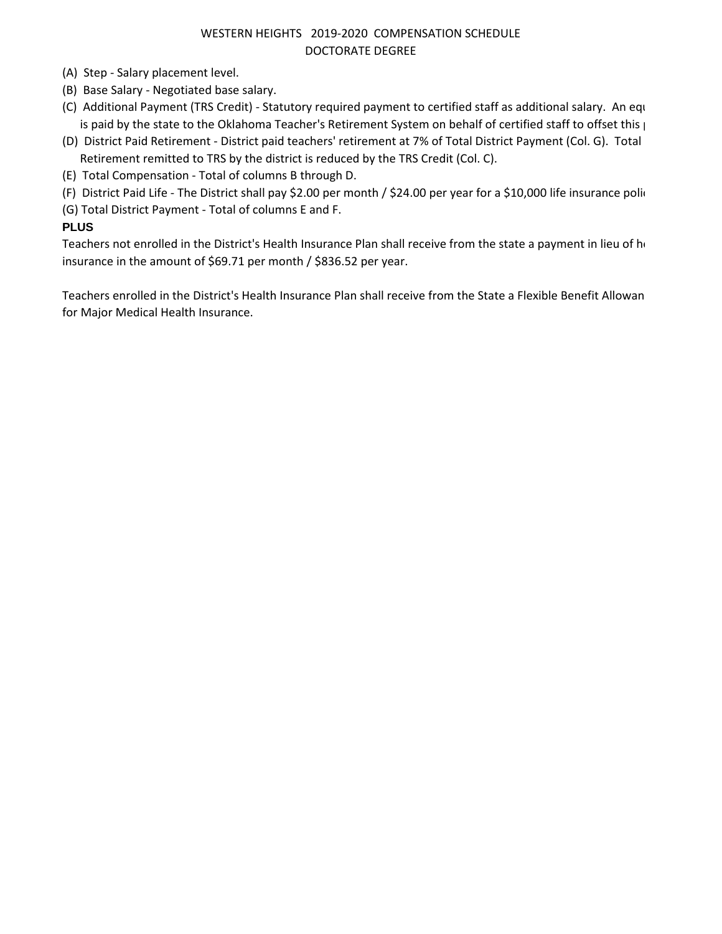- (A) Step Salary placement level.
- (B) Base Salary Negotiated base salary.
- (C) Additional Payment (TRS Credit) Statutory required payment to certified staff as additional salary. An equ is paid by the state to the Oklahoma Teacher's Retirement System on behalf of certified staff to offset this  $\mu$
- (D) District Paid Retirement District paid teachers' retirement at 7% of Total District Payment (Col. G). Total Retirement remitted to TRS by the district is reduced by the TRS Credit (Col. C).
- (E) Total Compensation Total of columns B through D.
- (F) District Paid Life The District shall pay \$2.00 per month / \$24.00 per year for a \$10,000 life insurance polic
- (G) Total District Payment Total of columns E and F.

## **PLUS**

Teachers not enrolled in the District's Health Insurance Plan shall receive from the state a payment in lieu of health insurance in the amount of \$69.71 per month / \$836.52 per year.

Teachers enrolled in the District's Health Insurance Plan shall receive from the State a Flexible Benefit Allowan for Major Medical Health Insurance.